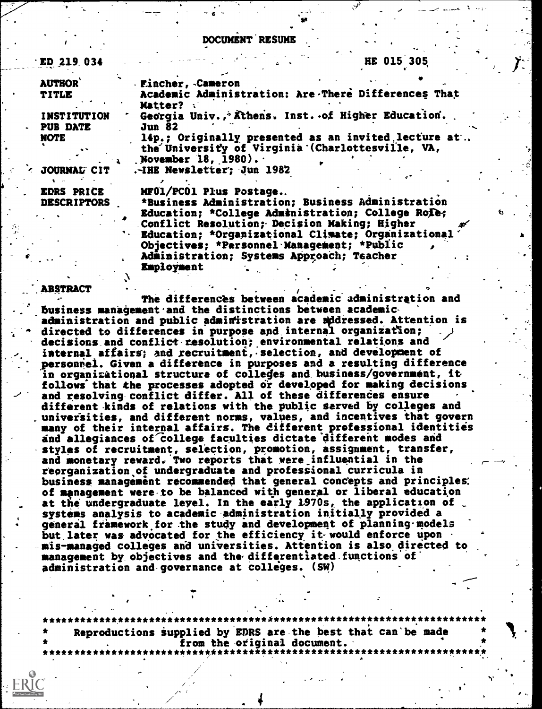#### DOCUMENT RESUME

6

| $\cdot$ ED 219.034 | HE 015 305                                          |  |
|--------------------|-----------------------------------------------------|--|
| <b>AUTHOR</b>      | Eincher, Cameron                                    |  |
| <b>TITLE</b>       | Academic Administration: Are There Differences That |  |
|                    | <b>Matter?</b>                                      |  |
| <b>INSTITUTION</b> | Georgia Univ., Äthens. Inst. of Higher Education.   |  |
| <b>PUB DATE</b>    | <b>Jun 82</b>                                       |  |
| <b>NOTE</b>        | 14p.; Originally presented as an invited lecture at |  |
|                    | the University of Virginia (Charlottesville, VA,    |  |
|                    | November 18, $1980$ .                               |  |
| JOURNAL CIT        | .-IHE Newsletter; Jun 1982                          |  |
|                    |                                                     |  |
| <b>EDRS PRICE</b>  | MF01/PC01 Plus Postage                              |  |
| <b>DESCRIPTORS</b> | *Business Administration; Business Administration   |  |
|                    | Banceticas Afellece tambéetestines fellese Delas    |  |

Education; \*College Administration; College Role; which Conflict Resolution; Decision Making; Higher Education; \*Organizational Climate; Organizational' Objectives; \*Personnel Management; \*Public Administration; Systems Approach; Teacher Employment

e

-9

1

...-.ABSTRACT . / The differences between academic administration and business management and the distinctions between academic. administration and public administration are addressed. Attention is directed to differences in purpose and internal organization; decisions and conflict resolution; environmental relations and internal affairs; and recruitment, selection, and development of personiel. Given a difference in purposes and a resulting difference in orgapizitional structure of colleges and business/government, it follows that the processes adopted or developed for making decisions and resolving conflict differ. All of these differences ensure different kinds of relations with the public served by colleges and universities, and different norms, values, and incentives that govern many of their internal affairs. The different professional identities and allegiances of college faculties dictate different modes and styles of recruitment, selection, promotion, assignment, transfer, and monetary reward. Two reports that were influential in the reorganization of undergraduate and professional curricula in business management recommended that general concepts and principles. of management were-to be balanced with general or liberal education at the undergraduate level. In the early 1970s, the application of systems analysis to academic administration initially provided a general framework for the study and development of planning models but later was advocated for the efficiency it would enforce upon mis-managed colleges and universities. Attention is also directed to management by objectives and the differentiated functions of administration and governance at colleges. (SW)

\*\*\*\*\*\*\*\*\*\*\*\*\*\*\*\*\*\*\*\*\*\*\*\*\*\*\*\*\*\*\*\*\*\*\*\*A\*\*\*\*\*\*\*\*\*\*\*\*\*\*\*\*\*\*\*\*\*\*\*\*\*\*\*\*\*\*\*\*\*\* Reproductions Supplied by EDRS are the best that can'be made from the original document. \*\*\*\*\*\*\*\*\*\*\* \*\*\*\*\*\*\*\*\*\*\*\*\*\*\*\*\*\*\*\*\*\*\*\*\*\*\*\*\*\*\*\*\*\*\*\*\*\*\*\*\*\*\*\*\*\*\*\*\*\*\*\*\*\*\*\*\*\*\*\*

**IP** In the second second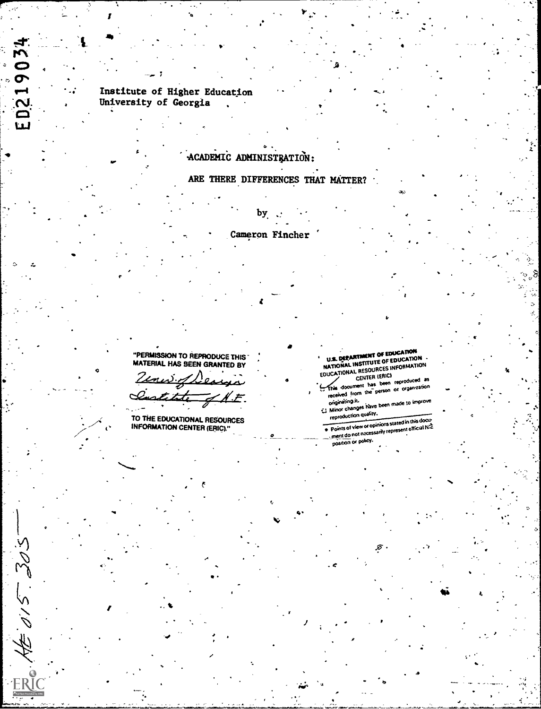# Institute of Higher Education<br>University of Georgia

ED2

パイパ

## ACADEMIC ADMINISTRATION:

# ARE THERE DIFFERENCES THAT MATTER?

Cameron Fincher

"PERMISSION TO REPRODUCE THIS"<br>MATERIAL HAS BEEN GRANTED BY

Zenes of Lea it.F

TO THE EDUCATIONAL RESOURCES<br>INFORMATION CENTER (ERIC)."

U.S. DERARTMENT OF EDUCATION<br>NATIONAL INSTITUTE OF EDUCATION<br>EDUCATIONAL RESOURCES INFORMATION<br>CENTER (ERIC)

This document has been reproduced as received from the person or organization

Minor changes have been made to improve reproduction quality.

Points of view or opinions stated in this docu-The of the contract of the contract of the state of the contract of the contract of the contract of the contract of the contract of the contract of the contract of the contract of the contract of the contract of the contra

position or policy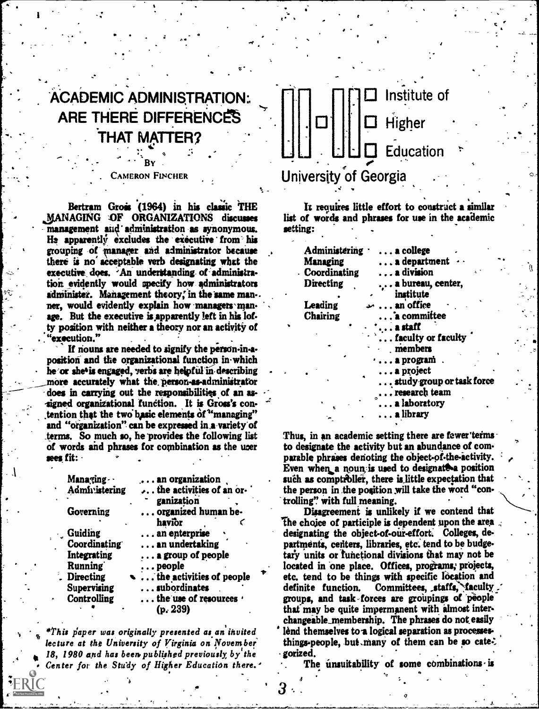# $\sim$ ACADEMIC ADMINISTRATION. ARE THERE DIFFERENCES THAT MATTER

 $\mathbf{A}$ 

### . - BY . CAMERON FINCHER

. -

Bertram Grois (1964) in his classic THE MANAGING OF ORGANIZATIONS discusses management and administration as synonymous. He apparently excludes the executive from his grouping of ranger and admiaistrator because there is no acceptable verb designating what the executive does. An understanding of administration evidently would specify how administrators administer. Management theory, in the same man-. ner, would evidently explain how managers manage. But the executive is apparently left in his lofty position with neither a theory nor an activity of  $\epsilon$  execution."

If nouns are needed to signify the person-in-aposition and the organizational function in-which he or she'is engaged, verbs are helpful in describing more accurately what the person-as-administrator does in carrying out the responsibilities of an as- -signed organizational function. It is Gross's contention that the two basic elements of "managing" and "organization" can be expressed in.a-vuiety'of terms. So much so, he 'provides the following list of words and phrases for combination as the user sees fit:

| Managing      | an organization                    | SU |
|---------------|------------------------------------|----|
| Administering | the activities of an or-           | tŀ |
|               | ganization                         | tr |
| Governing     | organized human be-                |    |
|               | havior                             | Ŧh |
| Guiding       | an enterprise                      | d١ |
| Coordinating  | an undertaking                     | p۱ |
| Integrating   | $\ldots$ a group of people         | ta |
| Running       | $\ldots$ people                    | lo |
| Directing     | $\ddotsc$ the activities of people | et |
| Supervising   | subordinates                       | d  |
| Controlling   | the use of resources .             | gr |
|               | (p. 239)                           | th |
|               |                                    |    |

lecture at the University of Virginia on November' 18, 1980 and has been published previously, by the Center for the Study of Higher Education there.'



Is requires little effort to construct a similar list of words and phrases for use in the academic setting:

| Administering    | $\ldots$ a college           |   |
|------------------|------------------------------|---|
| <b>Managing</b>  | a department                 |   |
| Coordinating     | . <b>a</b> di <b>vis</b> ion | Ï |
| <b>Directing</b> | a bureau, center,            |   |
|                  | institute                    |   |
| Leading          | an office                    |   |
| Chairing         | a committee                  |   |
|                  | $\ldots$ a staff             |   |
|                  | faculty or faculty           |   |
|                  | members                      |   |
|                  | $\cdots$ a program           |   |
|                  | $\ldots$ a project           |   |
|                  | study group or task force    |   |
|                  | $\frac{1}{2}$ research team  |   |
|                  | a laboratory                 |   |
|                  | $\ldots$ a library           |   |

Thus, in an academic setting there are fewer terms to designate the activity but an abundance of comparable phrases denoting the object-of-the-activity. Even when a noun is used to designate a position such as comptroller, there is little expectation that the person in the position will take the word "controlling'? with full meaning.

\*This paper was originally presented as an invited it lend themselves to a logical separation as processes-<br>lecture at the University of Virginia on November it things-people, but many of them can be so cate. \* etc. tend to be things with specific location and Disagreement is unlikely if we contend that The choice of participle is dependent upon the area. designating the object-of-our-effort. Colleges, departments, centers, libraries, etc. tend to be budgetary units or functional divisions that may not be located in one place. Offices, programs; projects, definite function. Committees, staffs, faculty. groups, and task forces are groupings of people that may be quite impermanent with almost interchangeable\_membership. The phrases do not easily the lend themselves to a logical separation as processes-<br>things-people, but many of them can be so cate: gorized.

The unsuitability of some combinations is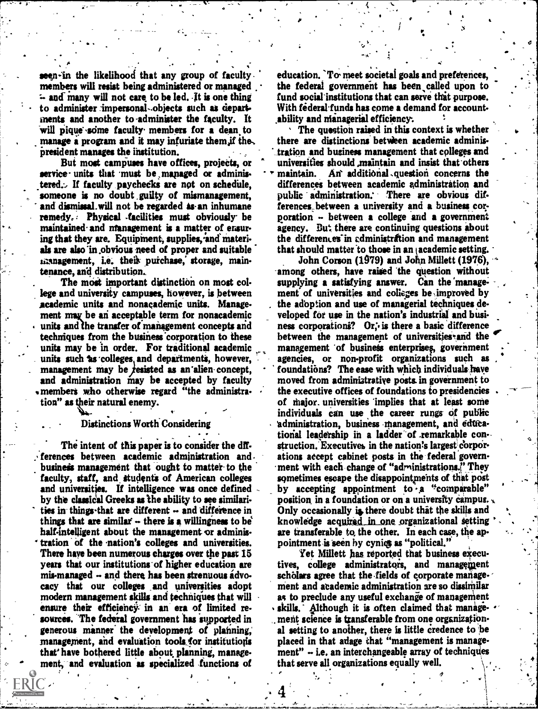members will resist being administered or managed the federal government has been called upon to  $\sim$  and many will not care to be led. It is one thing fund social institutions that can serve that purpose.  $\sim$  and many will not care to be led. It is one thing fund social institutions that can serve that purpose.<br>
to administer impersonal objects such as depart With federal funds has come a demand for account to administer impersonal - .objects such as depart-<br>ments and another to administer the faculty. It ability and managerial efficiency. ments and another to administer the faculty. It ability and managerial efficiency.<br>will pique some faculty members for a dean to  $\longrightarrow$  The question raised in this context is whether will pique some faculty members for a dean to<br>manage a program and it may infuriate them if the, there are distinctions between academic adminismanage a program and it may infuriate them, if the, president manages the institution.

S. S. S

service units that must be managed or adminis. The maintain. An additional question concerns the<br>tered. If faculty paychecks are not on schedule. If differences between academic administration and tered... If faculty paychecks are not on schedule, differences between academic administration and<br>someone is no doubt guilty of mismanagement, public administration. There are obvious difsomeone is no doubt guilty of mismanagement, and dismissal will not be regarded as an inhumane remedy.: Physical -facilities must obviously- be maintained- and ntanagement is a matter of ensuring that they are. Equipment, supplies, and materials are also in obvious need of proper and suitable utanagement, i.e. their purchase, storage, maintenance, and distribution..

The most important distinction on most college and university campuses, however, is between academic units and nonacademic units. Management may be an acceptable term for nonacademic units and the transfer of management concepts and techniques from the business 'corporation to these units may be in order. For traditional academic units such as colleges and departments, however, management may be  $f$ esisted as an'alien concept, and administration may be accepted by faculty . members who otherwise regard "the administra-

tion" as their natural enemy.

Distinctions Worth Considering

The intent of this paper is to consider the differences between academic administration and business management that ought to matter to the faculty, staff, and students of American colleges and universities. If intelligence was once defined by the classical Greeks as the ability to see similarities in things-that are different -- and difference in things that are similar  $\cdot$  there is a willingness to be half-intelligent about the management or administration of the nation's colleges and universities. There have been numerous charges over the past 15 years that our institutions of higher education are mis-managed -- and there has been strenuous advocacy that our colleges and universities adopt modern management skills and techniques that will ensure their efficiency` in an era of limited resources. The federal government has supported in generous manner' the development of planning,' management, and evaluation tools for institutions that' have bothered little about planning, management, and evaluation as specialized functions of

seen-in the likelihood that any group of faculty education. To meet societal goals and preferences, members will resist being administered or managed the federal government has been called upon to

 $\bullet$ 

president manages the institution. - ...tration and business management that cplleges and universities should maintain and insist that others ferences between a university and a business corporation  $\sim$  between a college and a government agency. But there are continuing questions about the differences in cdministration and management that should matter to those in an academic setting.

John Corson (1979) and John Millett (1976), among others, have raised the question without supplying a satisfying answer. Can the management of universities and colleges be improved by the adoption and use of managerial techniques developed for use in the nation's industrial and business corporations? Or, is there a basic difference between the management of universities and the management of business enterprises, government agencies, or non-profit organizations such as foundations? The ease with which individuals have moved from adminiatrative posts. in government to the executive offices of foundations to presidencies of Major. universities 'implies that at least some individuals can use the career rungs of public administration, business management, and edticational leadership in a ladder of remarkable construction. Executives in the nation's largest corporations accept cabinet posts in the federal government with each change of "administrations." They sometimes escape the disappointments of that post by accepting appointment to a "comparable" position in a foundation or on a university campus. Only occasionally is there doubt that the skills and knowledge acquired in one organizational setting are transferable to, the other. In each case, the appointment is seen by cynics as "political."

Yet Millett bas reported that business executives, college administrators, and management scholars agree that the fields of corporate management and academic administration are so dissimilar as to preclude any useful exchange of management skills. Although it is often claimed that manage-,, merit science is transferable from one organizational setting to another, there Is little credence to he placed in that adage that "management is manage $ment"$   $\div$  i.e. an interchangeable array of techniques that serve all organizations equally well.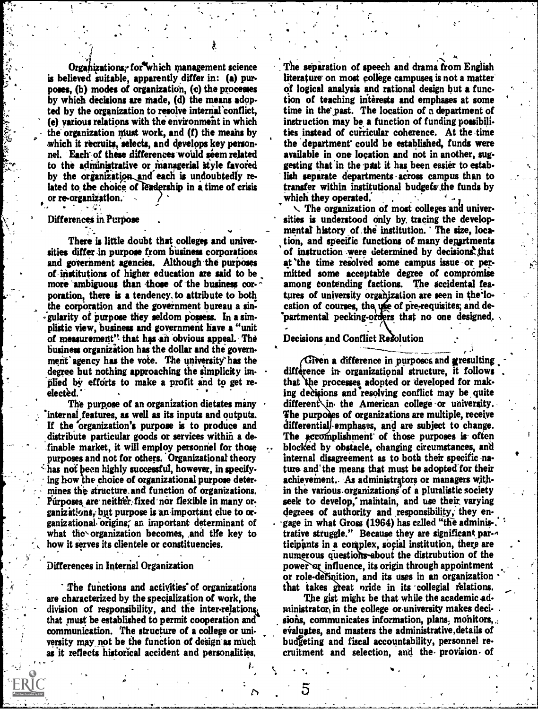Organizations; for which management science is believed suitable, apparently differ in: (a) pur poses, (b) modes of organization, (c) the processes by which decisions are made, (d) the means adopted by the organization to resolve internal conflict, (e) various relations with the environment in which the organization must work, and  $(f)$  the means by which it recruits, selects, and develops key personnel. Each-of these differences-would seem related to the administrative or managerial style favored by the organization and each is undoubtedly related to the choice of leadership in a time of crisis transfer within institution re-organization. or re-organization.

#### Differences in Purpose

+h.

There is little doubt that colleges and universities differ in purpose from business corporations and government agencies. Although the purposes of Institutions of higher education are said to be more ambiguous than those of the business corporation, there is a tendency. to attribute to both the corporation and the government bureau a sin-;gularity of purpose they seldom possess. In a aimplistic view, business and government have a "unit of measurement" that has an obvious appeal. The business organization has the dollar and the government' agency has the vote. The university-has the degree but nothing approaching the simplicity implied by efforts to make a profit and to get reelected.

The purpose of an organization dictates many internal features, as well as its inputs and outputs. If the organization's purpose is to produce and distribute particular goods or services within a de- .finable market, it will employ personnel for those purposes and not for others. Organizational theory has not been highly successful, however, in specifying how the choice of organizational purpose determines the structure. and function of organizations. Purposes, are neither, fixed nor flexible in many organizations, but purpose is an important clue to organizational. origins; an important determinant of what the organization becomes, and the key to how it serves its clientele or constituencies.<br>Differences in Internal Organization

#### Differences in Internal Organization

.

The functions and activities' of organizations are characterized by the specialization of work, the division of responsibility, and the inter-relations, that must be established to permit cooperation and communication. The structure of a college or university may not be the function of design as much as it reflects historical accident and personalities.

The separation of speech and drama from English literature' on most college campuses is not a matter Of logical analysis and rational design but a function of teaching interests and emphases at some time in the past. The location of a department of instruction may be a function of funding possibilities instead of curricular coherence. At the time the department' could be established, funds were available in one location and not in another, suggesting that in the past it has been easier to establish separate departments across campus than to transfer within institutional budgefs',the funds by

 $\vee$  The organization of most colleges and universities is understood only by. tracing the develop mental history of the institution. The size, location, and specific functions of many departments of instruction were determined by decisions that at the time resolved some campus issue or permitted some acceptable degree of compromise among contending factions. The accidental features of university organization are seen in the location of courses, the use of pre-requisites; and departmental pecking-orders that no one designed.

## Decisions and Conflict Resolution

Given a difference in purposes and gresulting difference in organizational structure, it follows that the processes adopted or developed for making decisions and resolving conflict may be quite different in the American college or university. The purposes of organizations are multiple, receive differential emphases, and are subject to change. The accomplishment of those purposes is often blocked by obstacle, changing circumstances, and internal disagreement as to both their specific nature and the means that must be adopted for their achieyement.. As administrators or managers within the various organizations of a pluralistic society seek to develop; maintain, and use their, varying degrees of authority and responsibility, they en-. gage in what Gross (1964) has celled "the adminis-. trative struggle." Because they are significant par-4 ticipants in a complex, social institution, there are numerous questions-about the distrubution of the power or influence, its origin through appointment or role-definition, and its uses in an organization that takes great pride in its collegial relations.

The gist might be that while the academic administrator, in the college or university makes deci- $\cdot$ . sions, communicates information, plans, monitors,.; evaluates, and masters the administrative,details of budgeting and fiscal accountability, personnel recruitment and selection, and the provision of

5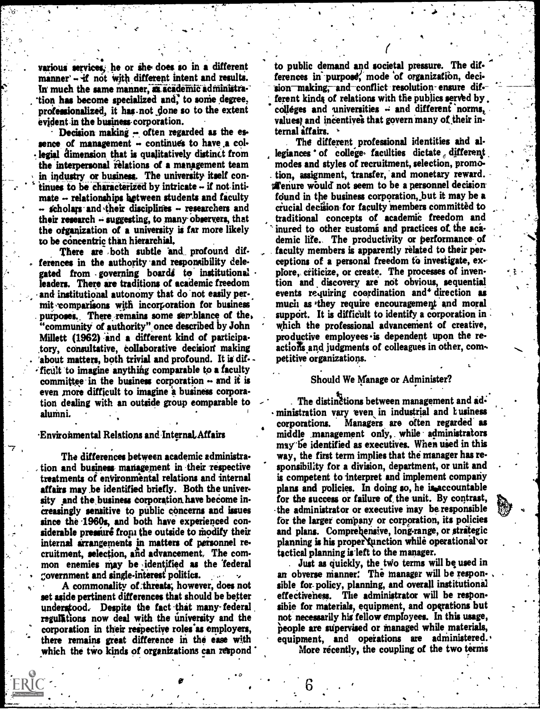- . . various servicet, he or ihe does so in a different manner' -- if not with different intent and results. In much the same manner, as academic administration has become specialized and, to some degree, professionalized, it has not done so to the extent evident-in the business- corporation.

Decision making  $\sim$  often regarded as the essence of management  $\sim$  continues to have a collegial dimension that is qualitatively distinct from the interpersonal relations of a management team in industry or business. The university itself continues to be characterized by intricate  $-$  if not inti $mate - relationship$  relationships between students and faculty  $-$  scholars and their disciplines  $-$  researchers and their research  $\div$  suggesting, to many observers, that the organization of a university is far more likely inured to other customs and practices of the aca-<br>to be concentric than hierarchial. The productivity or performance of to be concentric than hierarchial.

There are both subtle and profound differences in the authority and responsibility delegated from governing boards to institutional leaders. There are traditions of academic freedom and institutional autonomy that do not easily per-. mit comparisons with incorporation for business purposes. There remains some semblance of the. "community of authority" once described by John Millett (1962) -and a different kind of participatory, consultative, collaborative decision making 'about matters, both trivial and profound. It is dif- ficult to imagine anything comparable to a faculty committee in the business corporation  $\cdots$  and it is even more difficult to imagine a business corporation dealing with an outside group eomparable to alumni.

#### Environmental Relations and Internal Affairs

The differences between academic administra tion and business management in their respective treatments of environmental relations and internal affairs may he identified briefly. Both the university and the business corporation have become increasingly sensitive to public concerns and issues since the 1960s, and both have experienced considerable pressure from the outside to modify their internal arrangements in matters of personnel recruitment, selection, and advancement, The common enemies may be identified as the federal government and single-interest politics.

A commonality of threats; however, does not sible for polic;<br>ide nertinent differences that should be better effectiveness. set aside pertinent differences that should be better understood. Despite the fact that many-federal reguliations now deal with the university and the corporation in their respective roles-as employers, there remains great difference in the ease with which the two kinds of organizations can respond

to public demand and societal pressure. The differences in purpose, mode of organization, decision making; and conflict resolution ensure different kinds of relations with the publics served by. colleges and universities  $\div$  and different norms, values' and incentives that govern many of their internal iffairs.

The different professional identities and al legiances of college faculties dictate different modes and styles of recruitment, selection, promo- . tion, assignment, transfer, 'and monetary reward. **Example 2** is upon to be a personnel decision found in the business corporation, but it may be a facial decision- for faculty members committed to traditional concepts of academic freedom and inured to other customs and practices of the acafaculty members is apparently related to their perceptions of a personal freedom to investigate, explore, criticize, or create. The processes of invention and discovery are not obvious, sequential events requiring coordination and<sup>4</sup> direction as much as 'they require encouragement and moral support. It is difficult to identify a corporation in which the professional advancement of creative, productive employees is dependent upon the re- $\arcsin$  and judgments of colleagues in other, competitive organizations.

#### Should We Manage or Administer?

The distinctions between management and administration vary even in industrial and L usiness corporations. Managers are often regarded as middle .management only, . while administrators may he identified as executives. When used in this way, the first term implies that the manager has responsibility for a division, department, or unit and is competent to interpret and implement company plans and policies. In doing so, he is accountable for the success or failure of the unit. By contrast, the administrator or executive may be responsible for the larger company or corporation, its policies and plans. Comprehensive, long-range, or strategic planning is his proper function while operational or tactical planning is left to the manager.

Just as quickly, the two terms will be used in an obverse manner: The manager will be responsible for policy, planning, and overall institutional The administrator will be responsible for materials, equipment, and operations but not necessarily his fellow employees. In this usage, people are supervised or managed while materials, equipment, and operations are administered..

More recently, the coupling of the two terms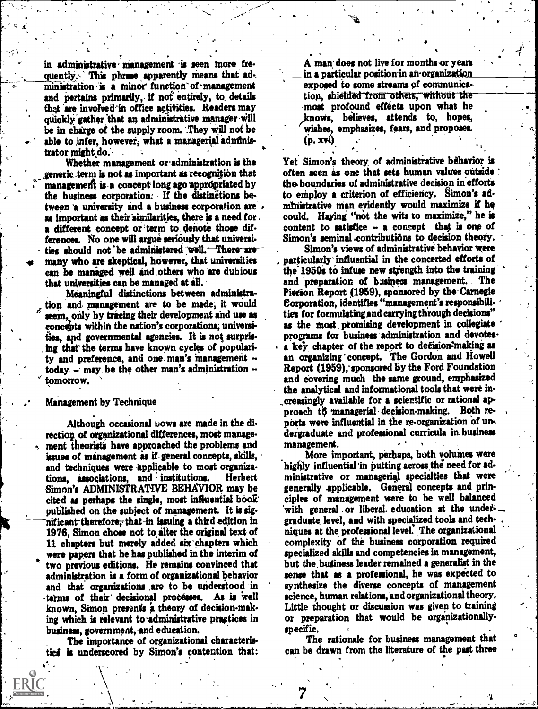in administrative management is seen more frequently. This phrase apparently means that ad-. ministration is a minor function of management and pertains primarily, if not entirely, to details that are involved in office activities. Readers may quickly gather that an administrative manager will be in charge of the supply room. They Will not be able to infer, however, what a managerial adnfinis-<br>trator might do.

Whether management or-administration is the generic .term is not as important as recognition that management is a concept long ago appropriated by the business corporation: If the distinctions between 'a university and a business corporation are as important as their iimilarities, there is a need for , a different concept or term to denote those differences. No one will argue seriously that universities should not be administered well. There are many who are skeptical, however, that universities can be managed well and .others who are dubious that universities can be managed at all.

Meaningful distinctions between administration and management are to be made, it would  $\boldsymbol{d}$ seem, only by tracing their development and use as concepts within the nation's corporations; universities, apd governmental agencies. It is not surpris ing that the terms have known cycles of popularity and preference, and one man's management  $$ today  $-$  may be the other man's administration  $$ tomorrow.

Management by Technique

.

Although occasional bows are made in the direction of organizational differences, most management theorists have approached the problems and issues of management as if general concepts, skills, and techniques were applicable to most organizations, associations, and institutions. Herbert Simon's ADMINISTRATIVE BEHAVIOR may be cited as perhaps the single, most influential book published on the subject of management. It is significant therefore, that-in issuing a third edition in 1976, Simon chose not to alter the original text of 11 chapters but merely added six' chapters which were papers that he has published in the interim of two previous editions. He remains convinced that administration is a form of organizational behavior and that organizations are to be understood in tetrns of their' decisional processes. As is well known, Simon prerants a theory of decision-making which is relevant to administrative practices in business, government, and education.

The importance of organizational characteristics is underscored by Simon's contention that:

A man does not live for months or years in a particular position in an-organization exposed to some streams of communica tion, shielded from others, without the -most profound effects upon what he /knows, believes, attends to, hopes, wishes, emphasizes, fears, and proposes.  $(p, xvi)$ 

4

Yet Simon's theory of administrative behavior is often seen as one that sets human values outside : the boundaries of administrative decision in efforts to employ a criterion of efficiency. Simon's adnitnistrative man evidently would maximize if he could. Haying "not the wits to maximize," he is content to satisfice - a concept that is one of Simon's seminal .contributions to decision theory.

Simon's views of administrative behavior were particularly' influential in the concerted efforts of the 1950s to infuse new strength into the training and preparation of business management. The Pierson Report (1959), sponsored by the-Carnegie Corporation, identifies "management's responsibilities for formulating.and carrying through decisions" as the most promising development in collegiate programs for business administration and devotes. a key chapter of the report to decision-making as an organizing' concept. The Gordon and Howell Report (1959), sponsored by the Ford Foundation and covering much the same ground, emphasized the analytical and informational tools that were increasingly available for a scientific or rational approach to managerial decision-making. Both reports were influential in the re-organization of undergraduate and professional curricula in business management.

More important, perhaps, both volumes were highly influential 'in putting across the need for administrative or managerial specialties that were generally applicable. General concepts and principles of management were to be well balanced with general or liberal education at the undergraduate level, and with specialized tools and techniques at the professional level: The organizational complexity of the business corporation required specialized skills and competencies in management, but the, butiness leader remained a generalist in the sense that as a professional, he was expected to synthesize the diverse concepts of management science, human relations, and organizational theory. Little thought or discussion was given to training or preparation that would be organizationallyspecific.

The rationale for business management that can be drawn from the literature of the past three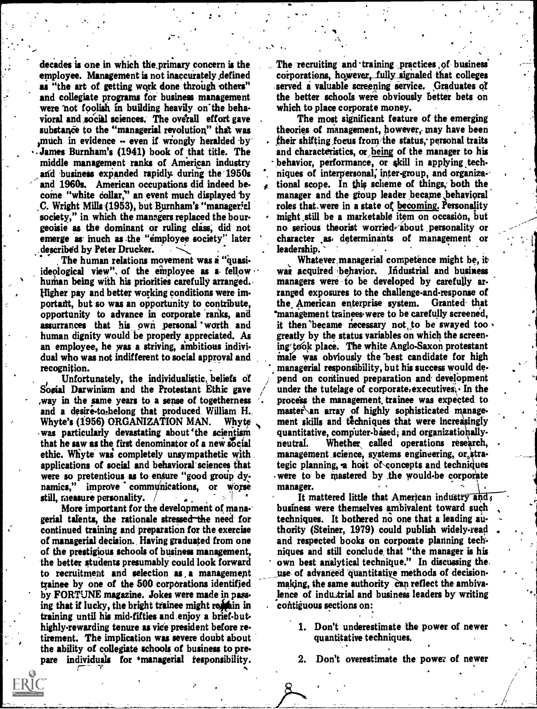decades is one in which the primary concern is the employee. Management is not inaccurately defined as "the art of getting work done through others" and collegiate programs for business management were not foolish in building heavily on the behavioral and social sciences. The overall effort gave substance to the "managerial revolution" that was much in evidence - even if wrongly heralded by James Burnham's (1941) book of that title. The middle management ranks of American industry and business expanded rapidly during the 1950s <sup>\*</sup> niques of interpersonal, inter-group, and organiza-<br>and 1960s. American occupations did indeed be- . tional scope. In this scheme of things, both the and 1960s. American occupations did indeed be. come "white collar," an event much displayed by C. Wright Mills (1953), but Burnham's " managerial society," in which the managers replaced the bourgeoisie as the dominant or ruling class; did not emerge as much as the "employee society" later . described by Peter Drucker.

The human relations movement was a "quasiideological view", of the employee as a fellow human being with his priorities carefully arranged. Higher pay and better working conditions were important, but so was an opportunity to contribute, opportunity to advance in corporate 'ranks, and assurrances that his own personal worth and human dignity would be properly appreciated. As an employee, he was a striving, ambitious indivi. dual who was not indifferent to social approval and recognition.

Sogial Darwinism and the Protestant Ethic gave way in the same years to a sense of togetherness and a desire-to-belong that produced William H.<br>Whyte's (1956) ORGANIZATION MAN. Whyte Whyte's (1956) ORGANIZATION MAN. was particularly devastating about 'the scientism that he saw as the first denominator of a new social neutral. ethic. Whyte was completely unsympathetic with applications of social and behavioral'sciences that were so pretentious as to ensure "good group dynamics," improve communications, or worse still, measure personality.  $/$ 

More important for the development of mane. gerial talents, the rationale stressed the need for continued training and preparation for the exercise of managerial decision., Having graduated from one of the prestigious schools of business management, the better students presumably could look forward to recruitment and selection as a management trainee by one of the 500 corporations identified by FORTUNE magazine. Jokes were made in passing that if lucky, the bright trainee might remain in training until his midfifties and.enjoy a brief-buthighly-rewarding tenure as vice president before retirement. The implication was severe doubt about the ability of collegiate schools of business to pre. pare individuals for managerial responsibility.  $\overline{\gamma}$  --  $\overline{\gamma}$  --  $\overline{\gamma}$ 

The recruiting and training practices of business corporations, however, fully signaled that colleges served a valuable screening service. Graduates of the better schools were obviously Better bets on which to place corporate money.

The most significant feature of the emerging theories of management, however, may have been their shifting focus from/the status, personal traits and characteristics, or being of the manager to his behavior, performance, or skill in applying techniques of interpersonal, inter-group, and organiza-manager and the group leader became ,behavioral roles that were in a state of becoming. Personality might.still be a marketable item on occasion, but no serious theorist worried about personality or character As. determinants of management or leadership.

Unfortunately, the individualistic beliefs of pend on continued preparation and development Whatever, managerial competence might be, it was acquired behavior. Industrial and business managers were to be developed by carefully arranged exposures to the challenge-and-response of the. American enterprise system. Granted. that 'management trainees were to be carefully screened, it then became necessary not to be swayed too. greatly by the status variables on which the screening took place. The white Anglo-Saxon protestant inale was obviously the 'best candidate for high managerial responsibility, but his success would de under the tutelage of corporate, executives  $\cdot$  In the process the management, trainee was expected to master\ an array of highly sophisticated manage. ment skills and techniques that were increasingly quantitative, computer-based; and organizationally-Whether called operations research, management science, systems engineering, or,strategic planning, a host of concepts and techniques were to be mastered by the would-be corporate manager.

> It mattered little that American industry and business were themselves ambivalent toward such techniques. It bothered no one that a leading authority (Steiner, 1979) could publish widely.read and respected books on corporate planning techniques and still conclude, that "the manager is his own best analytical technique." In discussing the. use of advanced quantitative methods of decisionmaking, the same authority can reflect the ambivalence of industrial and business leaders by writing contiguous sections on:

- 1. Don't underestimate 'the power of newer quantitative techniques.
- Don't overestimate the power of newer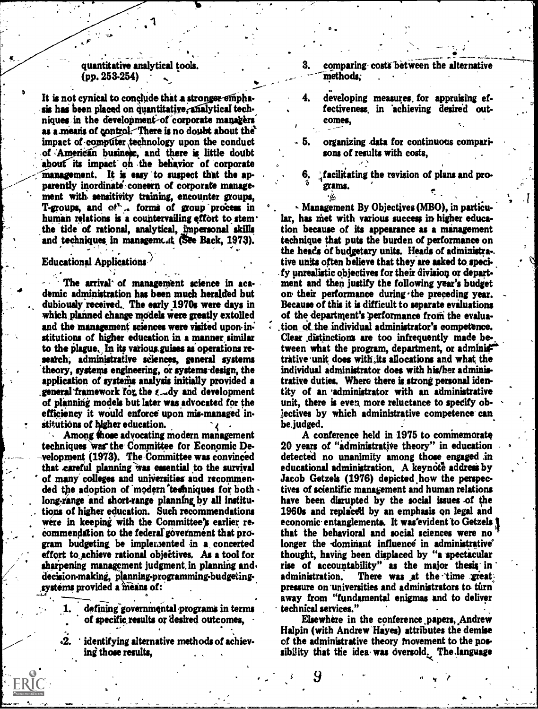#### quantitative analytical tools.  $(pp. 253-254)$

It is not cynical to conclude that a stronger emphasis has been placed on quantitative, analytical techniques in the development of corporate managers as a means of control. There is no doubt about the impact of computer technology upon the conduct of American business, and there is little doubt about its impact on the behavior of corporate management. It is easy to suspect that the apparently inordinate concern of corporate management with sensitivity training, encounter groups, T-groups, and of a forms of group process in human relations is a countervailing effort to stem. the tide of rational, analytical, impersonal skills and techniques in management (See Back, 1973).

#### Educational Applications.

The arrival of management science in academic administration has been much heralded but dubiously received. The early 1970s were days in which planned change models were greatly extolled and the management sciences were visited upon institutions of higher education in a manner similar to the plague. In its various guises as operations research, administrative sciences, general systems theory, systems engineering, or systems design, the application of systems analysis initially provided a general framework for the  $\epsilon$ -dy and development of planning models but later was advocated for the efficiency it would enforce upon mis-managed institutions of higher education.

Among those advocating modern management techniques was the Committee for Economic Development (1973). The Committee was convinced that careful planning was essential to the survival of many colleges and universities and recommended the adoption of modern techniques for both long-range and short-range planning by all institutions of higher education. Such recommendations were in keeping with the Committee's earlier recommendation to the federal government that program budgeting be implemented in a concerted effort to achieve rational objectives. As a tool for sharpening management judgment in planning and. decision-making, planning-programming-budgetingsystems provided a means of:

- defining governmental programs in terms of specific results or desired outcomes.
- identifying alternative methods of achieving those results.
- 3. comparing costs between the alternative methods:
- developing measures for appraising ef-4. fectiveness in achieving desired outcomes.
- organizing data for continuous comparisons of results with costs.
- facilitating the revision of plans and proerams.

٠۵

Management By Objectives (MBO), in particular, has met with various success in higher education because of its appearance as a management technique that puts the burden of performance on the heads of budgetary units. Heads of administra-. tive units often believe that they are asked to specify unrealistic objectives for their division or department and then justify the following year's budget on their performance during the preceding year. Because of this it is difficult to separate evaluations of the department's performance from the evaluation of the individual administrator's competence. Clear distinctions are too infrequently made between what the program, department, or adminix trative unit does with its allocations and what the individual administrator does with his/her administrative duties. Where there is strong personal identity of an administrator with an administrative unit, there is even more reluctance to specify objectives by which administrative competence can be.judged.

A conference held in 1975 to commemorate 20 years of "administrative theory" in education detected no unanimity among those engaged in educational administration. A keynote address by Jacob Getzels (1976) depicted how the perspectives of scientific management and human relations have been disrupted by the social issues of the 1960s and replaced by an emphasis on legal and economic entanglements. It was evident to Getzels 1 that the behavioral and social sciences were no longer the dominant influence in administrative' thought, having been displaced by "a spectacular rise of accountability" as the major thesis in There was at the time great administration. pressure on universities and administrators to turn away from "fundamental enigmas and to deliver technical services."

Elsewhere in the conference papers, Andrew Halpin (with Andrew Hayes) attributes the demise of the administrative theory movement to the possibility that the idea was oversold. The language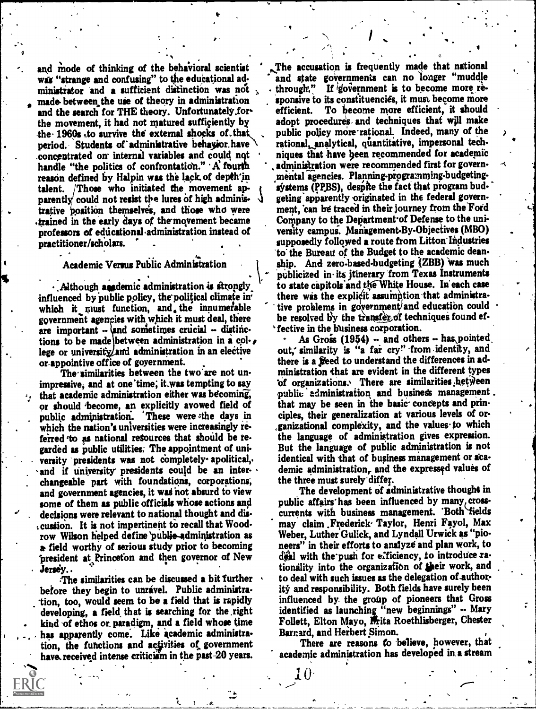and mode of thinking of the behavioral scientist was "strange and confusing" to the educational administrator and a sufficient distinction was not made between the use of theory in administration [150], sponsive to sponsive the search for THE theory. Unfortunately for and the search for THE theory. Unfortunately.for the movement, it had not matured sufficiently by the -1960s ,to survive the external shocks of.that, period. Students of administrative behavior have .concputrated on internal variables and could nqt handle "the politics of confrontation."  $\mathbf{A}$  fourth reason defined by Halpin was the lack of depth'in talent. Those who initiated the movement apparently could not resist the lures of high administrative position themselves, and those who were ment, can be traced in their journey from the Ford<br>trained in the early days of the movement became Company to the Department of Defense to the uni-.trained in the early days of themovement became professors of educational administration instead of practitioner/schOlars.

 $\mathbf{v}$  and  $\mathbf{v}$ 

#### Academic Versus Public Administration

. . . . . . . , Although academic administration is strongly. influenced by public policy, the political climate in which it must function, and, the innumerable government agencies with which it must deal, there are important  $\sim$  and sometimes crucial  $\sim$  distinctions to be made between administration in a col- $\boldsymbol{\ell}$ lege or university/and administration in an elective or appointive office of goyernment.

The similarities between the two are not unimpressive, and at one time; it was tempting to say that academic administration either was becoming, or should 'become, an explicitly avowed field of public administration. These were the days in . which the nation's universities were increasingly referred 'to as national retources that should be regarded as public utilities; The appointment of uni versity presidents was not completely apolitical,. and if university presidents could be an inter-, changeable part with' foundations, corporations; and government agencies, it was not absurd to view some of them as public officials whose actions and . decisions were relevant to national thought and dis cussion. It is not impertinent to recall that Woodrow Wilson helped define public-administration as a field worthy of serious study prior to becoming president at Princeton and then governor of New

Jersey..<br>The similarities can be discussed a bit further before they begin to unravel. Public administration, too, would seem to be a field that is rapidly developing, a field, that is searching for the ,right kind 'of ethos or paradigm, and a field whose time has apparently come. Like academic administration, the functions and activities of government have received intense criticism in the past-20 years.

The accusation is frequently made that national and state governments can no 'longer "muddle through." If government is to become more responsive to its constituencies, it must become more To become more efficient, it should adopt procedures, and techniques that will make public policy more rational. Indeed, many of the rational, analytical, quantitative, impersonal techniques that have been recommended for academic , administration were recommended first for govern. mental agencies. Planning-programming-budgeting systems (PPBS), despite the fact that program budgeting apparently originated in the federal government, can be traced in their journey from the"Ford versity campus. Management-By-Objectives (MBO) supposedly followed a route from Litton' Industries 'to' the Bureau of the Budget to the academic deanship. And zero-based-budgeting (ZBB) was much publicized in its itinerary 'from Texas Instruments to state capitols and the White House. In each case there was the explicit assumption that administrative problems in government/and education could be resolved by the transfer of techniques found ef-' fective in the business corporation.

O

.

As Gross  $(1954)$  - and others - has pointed out, similarity is "a far cry" from identity, and there is a freed to understand the differences in administration that are evident in the different types of organizations. There are similarities hetween public administration and business management. that may be seen in the basic concepts and principles, their generalization at various levels of or-  $,$ ganizational complexity, and the values to which the language of administration gives expression. But the language of public administration is not identical with that of business management or academic administration, and the expressed values of the three must surely differ.

The development of administrative thought in public affairs has been influenced by many, crosscurrents with business management. 'Both fields may claim Frederick Taylor, Henri Fayol, Max Weber, Luther Gulick, and Lyndall Urwick as "pia neers" in their efforts to analyze and plan work, to deal with the push for efficiency, to introduce rationality into the organization of their work, and to deal with such issues as the delegation of-author. ity and responsibility. Both fields have surely been influenced by. the group of pioneers that Gross identified as launching "new beginnings" -- Mary Follett, Elton Mayo, Frita Roethlisberger, Chester Barnard, and Herbert \_Simon.

There are reasons to believe, however, that academic administration has developed in a stream

 $0<\infty$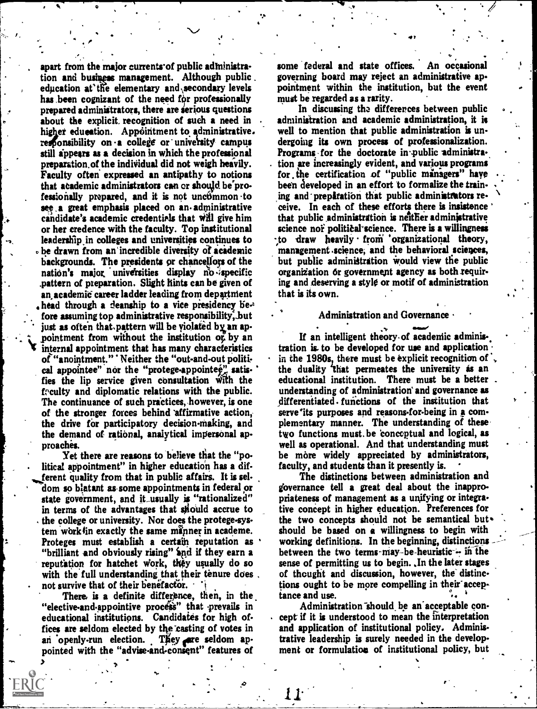apart from the major currents of public administration and business management. Although public. education at the elementary and secondary levels has been cognizant of the need for professionally prepared administrators, there are serious questions about the explicit recognition of such a need in higher education. Appointment to administrative. responsibility on a college or university campus still appears as a decision in which the professional preparation of the individual did not weigh heavily. Faculty often expressed an antipathy to notions that academic administrators can or should be professionally prepared, and it is not uncommon to see a great emphasis placed on an administrative candidate's academic credentials that will give him or her credence with the faculty. Top institutional leadership in colleges and universities continues to be drawn from an incredible diversity of academic backgrounds. The presidents or chancellors of the nation's major universities display no specific pattern of preparation. Slight hints can be given of an academic career ladder leading from department head through a deanship to a vice presidency before assuming top administrative responsibility, but just as often that pattern will be violated by an appointment from without the institution of by an internal appointment that has many characteristics of "anointment." ' Neither the "out-and-out political appointee" nor the "protege-appointee" satisfies the lip service given consultation with the feculty and diplomatic relations with the public. The continuance of such practices, however, is one of the stronger forces behind affirmative action, the drive for participatory decision-making, and the demand of rational, analytical impersonal approaches.

Yet there are reasons to believe that the "political appointment" in higher education has a different quality from that in public affairs. It is seldom so blatant as some appointments in federal or state government, and it usually is "rationalized" in terms of the advantages that should accrue to the college or university. Nor does the protege-system work in exactly the same manner in academe. Proteges must establish a certain reputation as "brilliant and obviously rising" and if they earn a reputation for hatchet work, they usually do so with the full understanding that their tenure does. not survive that of their benefactor.

There is a definite difference, then, in the "elective-and-appointive process" that prevails in educational institutions. Candidates for high offices are seldom elected by the casting of votes in an openly-run election. They are seldom appointed with the "advise-and-consent" features of

some federal and state offices. An occasional governing board may reject an administrative appointment within the institution, but the event must be regarded as a rarity.

In discussing the differences between public administration and academic administration, it is well to mention that public administration is undergoing its own process of professionalization. Programs for the doctorate in public administration are increasingly evident, and various programs for the certification of "public managers" have been developed in an effort to formalize the training and preparation that public administrators receive. In each of these efforts there is insistence that public administration is neither administrative science not political science. There is a willingness to draw heavily from organizational theory, management science, and the behavioral sciences, but public administration would view the public organization or government agency as both requiring and deserving a style or motif of administration that is its own.

#### **Administration and Governance**

If an intelligent theory of academic administration is to be developed for use and application. in the 1980s, there must be explicit recognition of  $\cdot$ , the duality that permeates the university as an educational institution. There must be a better understanding of administration and governance as differentiated functions of the institution that serve 'its purposes and reasons-for-being in a complementary manner. The understanding of these two functions must be 'conceptual and logical. as well as operational. And that understanding must be more widely appreciated by administrators, faculty, and students than it presently is.

The distinctions between administration and governance tell a great deal about the inappropriateness of management as a unifying or integrative concept in higher education. Preferences for the two concepts should not be semantical but. should be based on a willingness to begin with working definitions. In the beginning, distinctions between the two terms may-be-heuristic - in the sense of permitting us to begin. In the later stages of thought and discussion, however, the distinctions ought to be more compelling in their acceptance and use.

Administration should be an acceptable concept if it is understood to mean the interpretation and application of institutional policy. Administrative leadership is surely needed in the development or formulation of institutional policy, but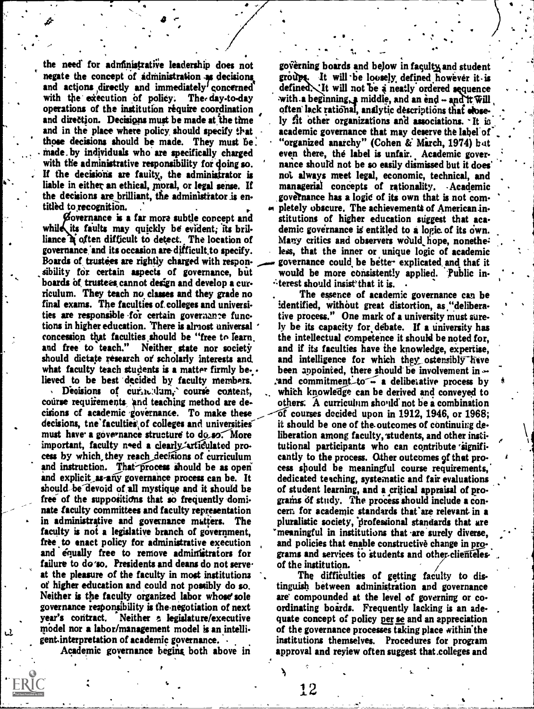the need for administrative leadership does not negate the concept of *administration* as decisions and actions directly and immediately' concerned'<br>with the execution of policy. The day-to-day with the execution of policy. operations of the institution require coordination and direction. Decisions must be made at the time and in the place where policy should specify that those decisions should be made. They must be. made. by individuals who are specifically charged with the administrative responsibility for doing so. If the decisions are faulty, the administrator is liable in either an ethical, moral, or legal sense. If the decisions are brilliant, the administrator is entitled to recognition.

 $\bullet$   $\sim$ 

governance is a far more subtle concept and while its faults may quickly be evident; its brilliance it often difficult to detect. The location of governance 'and its occasion are difficult.to specify. Boards of trustees are rightly charged with responsibility for certain aspects of governance, but boards of trustees, cannot design and develop a curriculum. They teach no classes and they grade no final exams. The faculties of.colleges and universi ties are responsible for certain governance functions in higher education. 'There is almost universal ' concession that faculties should be "free to learn.<br>and free to teach." Neither state nor society Neither state nor society should dictate research or scholarly interests and what faculty teach students is a matter firmly believed to be best 'decided by faculty members.

Decisions of curin. dum. course content, course requirements, and teaching method are de. cisions of academic 'governance. To make these decisions, tne'faculties\ of colleges and universities` must have a governance structure to do\_so. More important, faculty need a clearly articulated process by which they reach decisions of curriculum and instruction. That process should be as open and explicit as-any governance process can be. It should be devoid of all mystique and it should be free of the suppositions that so frequently dominate faculty committees and faculty representation in administrative and governance matters. The faculty is not a legislative branch of government, free to enact policy for administrative execution and equally free to remove administrators for failure to do'so. Presidents and deans do not serveat the pleasure of the faculty in most institutions of higher education and could not possibly do so. Neither is the faculty organized labor whose' sole governance responsibility is thenegotiation of next year's contract. Neither a legislature/executive model nor a labor/management model is anintelligent.interpretation of academic governance.

Academic governance begins both above in

governing boards and below in faculty and student groups. It will be loosely defined however it is defined. It will not be a neatly ordered sequence with a beginning, a middle, and an end  $-$  and it will often lack rational, analytic descriptions that elosely fit other organizations and associations. It is academic governance that may deserve the label of "organized anarchy" (Cohen &' Mirch, 1974) hot even there, the label is unfair. Academic gover nance should not be so easily dismissed but it does' not always meet legal, economic, technical, and managerial concepts of rationality. Academic gove?nance has a logic of its own that is not completely obscure. The achievements of American institutions of higher education suggest that academic governance is entitled to a logic of its own. Many critics and observers would hope, nonetheless, that the inner or unique logic of academic governance could, be bette- explicated. and that it would be more consistently applied. 'Public in- $\cdot$  terest should insist that it is.

The essence of academic governance can be identified, without great distortion, as "deliberative process." One mark of a university must surely be its capacity for debate. If a university has the intellectual competence it should be noted for, and if its faculties have the knowledge, expertise, and intelligence for which they ostensibly have been appointed, there should be involvement in  $\sim$ : and commitment-to  $\sim$  a deliberative process by which knowledge can be derived and conveyed to others: A curriculum should' not be a combination of courses decided upon in 1912, 1946, or 1968; it should be one of the. outcomes of continuing deliberation among faculty, students, and other institutional participants who can contribute cantly to the process. Other outcomes of that process should be meaningful course requirements,' dedicated teaching, systematic and fair evaluations of student learning, and a critical appraisal of programs of study. The process should include a concern for academic standards that'are relevant in a pluralistic society, lirofessional standards that are meaningful in institutions that are surely diverse, and policies that enable constructive change in programs and services to students and other-clienteles. of the institution.

The difficulties of getting faculty to distinguish between administration and governance are compounded at the level of governing or coordinating boards. Frequently lacking is an adequate concept of policy per se and an appreciation of the governance processes taking place within the institutions themselves. Procedures for program approval and reyiew often suggest that .colleges and

12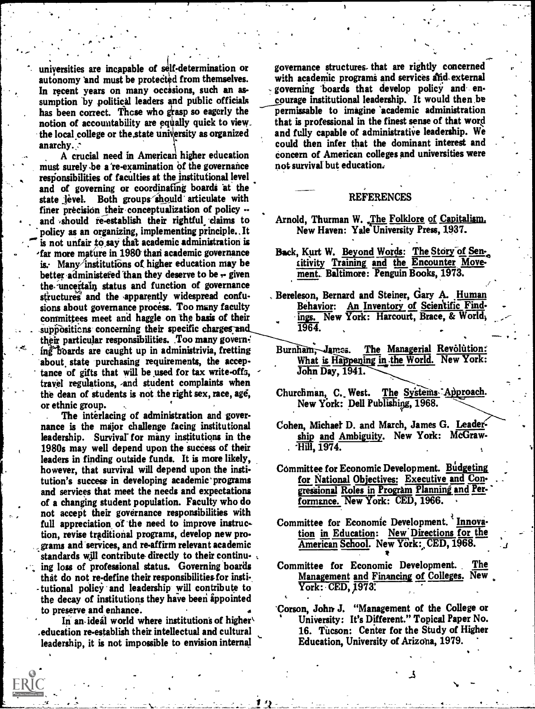universities are incapable of self-determination or autonomy and must be protected from themselves. In recent years on many occasions, such an assumption by political leaders and public officials has been correct. Those who grasp so eagerly the notion of accountability are equally quick to view. the local college or the state university as organized anarchy. .

..

. The second contribution of the second contribution  $\mathcal{L}^{\mathcal{L}}$ 

A crucial need in American higher education must surely -be a 're-examination bf the governance responsibilities of faculties at the institutional level and of governing or coordinating boards at the state level. Both groups should articulate with finer precision their conceptualization of policy  $$ and should re-establish their rightful claims to policy as an organizing, implementing principle.. It is not unfair to say that academic administration is  $r$ far more mature in 1980 than academic governance is. Many institutions of higher education may be better administefed than they deserve to be  $\div$  given the uncertain status and function of governance structures and the apparently widespread confusions about governance process. Too many faculty committees meet and haggle on the basis of their suppositions concerning their specific charges and their particular responsibilities. Too many govern-<br>ing boards are caught up in administrivia, fretting Burnham, James. ing boards are caught up in administrivia, fretting about state purchasing requirements, the acceptance of gifts that will be used for tax write-offs, travel regulations, -and student complaints when the dean of students is not the right sex, race, age, or ethnic group.

The interlacing of administration and governance is the major challenge facing institutional leadership. Survival' for many institutions in the 1980s may well depend upon the success of their leaders in finding outside funds. It is more likely, however, that survival will depend upon the institution's success in developing academic' programs and services that meet the needs and expectations of a changing student population. Faculty who do not accept their governance responsibilities with full appreciation of the need to improve instruction, revise traditional programs, develop new programs and-services, and re-affirm relevant academic standards will contribute directly to their continu-. ing loss of professional status. Governing boards that do not re-define their responsibilities-for insti tutional policy and leadership will contribute to the decay of institutions they have been appointed to preserve and enhance.

In an-ideal world where institutions of higher .education re-establish their intellectual and cultural leadership, it is not impossible to envision internal

governance structures. that are rightly concerned with academic programs and services and, external governing 'boards that develop policy and encourage institutional leadership. It would then be permissable to imagine 'academic administration that is professional in the finest sense of that word and fully capable of administrative leadership. We could then infer that the dominant interest and Concern of American colleges and universities were not survival but education:

#### REFERENCES

- Arnold, Thurman W. The Folklore of Capitalism. New Haven: Yale University Press, 1937.
- Back, Kurt W. Beyond Words: The Story of Sencitivity Training and the Encounter Movement.. Baltimore: Penguin Books, 1973.
- Bereleson, Bernard and Steiner, Gary A. Human Behavior: An Inventory of Scientific Find ings. New York: Harcourt, Brace, & World, 1964.
- The Managerial Revolution: What is Happening in the World. New York: John Day, 1941.
- Churchman, C. West. The Systems-Approach. New York: Dell Publishipg, 1968.
- Cohen, Michaer D. and March, James G. Leadership and Ambiguity. New York: McGraw- Hill, 1974.
- Committee for Economic Development. BUdgeting for National Objectives: Executive and Congressional Roles in Program Planning and Performsnce. New York: CED, 1966.
- Committee for Economic Development. Innovation in Education: New' Directions for the American School. New York: CED, 1968.
- Committee for Economic Development. The Management and Financing of Colleges. New York: CED, 1973.
- 'Corson, John, J. "Management of the College or University: It's Different." Topical Paper No. 16. Tucson: Center for the Study of Higher Education, University of Arizona, 1979.

ፌ

No

yJ